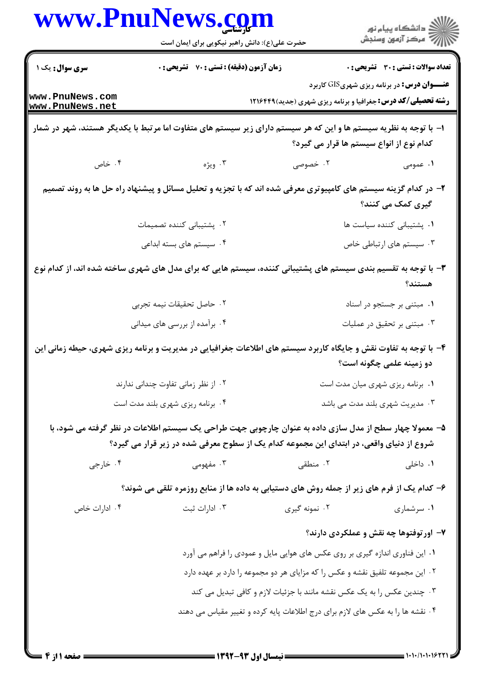| سری سوال: یک ۱<br><b>زمان آزمون (دقیقه) : تستی : 70 قشریحی : 0</b><br><b>تعداد سوالات : تستي : 30 ٪ تشريحي : 0</b><br><b>عنــــوان درس:</b> در برنامه ریزی شهریGIS کاربرد<br><b>رشته تحصیلی/کد درس:</b> جغرافیا و برنامه ریزی شهری (جدید) ۱۲۱۶۴۴۹<br>۱– با توجه به نظریه سیستم ها و این که هر سیستم دارای زیر سیستم های متفاوت اما مرتبط با یکدیگر هستند، شهر در شمار<br>کدام نوع از انواع سیستم ها قرار می گیرد؟<br>۰۴ خاص<br>۰۳ ویژه<br>۰۲ خصوصی<br>۱. عمومی<br>۲- در کدام گزینه سیستم های کامپیوتری معرفی شده اند که با تجزیه و تحلیل مسائل و پیشنهاد راه حل ها به روند تصمیم<br>گیری کمک می کنند؟<br>۰۲ پشتیبانی کننده تصمیمات<br>۰۱ پشتیبانی کننده سیاست ها<br>۰۴ سیستم های بسته ابداعی<br>۰۳ سیستم های ارتباطی خاص<br>۳– با توجه به تقسیم بندی سیستم های پشتیبانی کننده، سیستم هایی که برای مدل های شهری ساخته شده اند، از کدام نوع<br>هستند؟<br>۰۱ مبتنی بر جستجو در اسناد<br>۰۲ حاصل تحقیقات نیمه تجربی<br>۰۳ مبتنی بر تحقیق در عملیات<br>۰۴ برآمده از بررسی های میدانی<br>۴- با توجه به تفاوت نقش و جایگاه کاربرد سیستم های اطلاعات جغرافیایی در مدیریت و برنامه ریزی شهری، حیطه زمانی این<br>دو زمینه علمی چگونه است؟<br>۰۲ از نظر زمانی تفاوت چندانی ندارند<br>۰۱ برنامه ریزی شهری میان مدت است<br>۰۴ برنامه ریزی شهری بلند مدت است<br>۰۳ مدیریت شهری بلند مدت می باشد<br>۵– معمولا چهار سطح از مدل سازی داده به عنوان چارچوبی جهت طراحی یک سیستم اطلاعات در نظر گرفته می شود، با<br>شروع از دنیای واقعی، در ابتدای این مجموعه کدام یک از سطوح معرفی شده در زیر قرار می گیرد؟<br>۰۴ خارجي<br>۰۱ داخلی<br>۰۳ مفهومی<br>۰۲ منطقی<br>۶- کدام یک از فرم های زیر از جمله روش های دستیابی به داده ها از منابع روزمره تلقی می شوند؟<br>۰۲ نمونه گیری<br>۰۳ ادارات ثبت<br>۰۱ سرشماری<br>۰۴ ادارات خاص<br>۷– اور توفتوها چه نقش و عملکردی دارند؟<br>۰۱ این فناوری اندازه گیری بر روی عکس های هوایی مایل و عمودی را فراهم می آورد<br>۰۲ این مجموعه تلفیق نقشه و عکس را که مزایای هر دو مجموعه را دارد بر عهده دارد<br>۰۳ چندین عکس را به یک عکس نقشه مانند با جزئیات لازم و کافی تبدیل می کند<br>۰۴ نقشه ها را به عکس های لازم برای درج اطلاعات پایه کرده و تغییر مقیاس می دهند |                                    | www.rnunews.com<br>حضرت علی(ع): دانش راهبر نیکویی برای ایمان است | ڪ دانشڪاه پيام نور<br>پ <sup>ر</sup> مرڪز آزمون وسنڊش |
|----------------------------------------------------------------------------------------------------------------------------------------------------------------------------------------------------------------------------------------------------------------------------------------------------------------------------------------------------------------------------------------------------------------------------------------------------------------------------------------------------------------------------------------------------------------------------------------------------------------------------------------------------------------------------------------------------------------------------------------------------------------------------------------------------------------------------------------------------------------------------------------------------------------------------------------------------------------------------------------------------------------------------------------------------------------------------------------------------------------------------------------------------------------------------------------------------------------------------------------------------------------------------------------------------------------------------------------------------------------------------------------------------------------------------------------------------------------------------------------------------------------------------------------------------------------------------------------------------------------------------------------------------------------------------------------------------------------------------------------------------------------------------------------------------------------------------------------------------------------------------------------------------------------------------------------------------------------------------------------------------------------------------------------------------------------------------------|------------------------------------|------------------------------------------------------------------|-------------------------------------------------------|
|                                                                                                                                                                                                                                                                                                                                                                                                                                                                                                                                                                                                                                                                                                                                                                                                                                                                                                                                                                                                                                                                                                                                                                                                                                                                                                                                                                                                                                                                                                                                                                                                                                                                                                                                                                                                                                                                                                                                                                                                                                                                                  |                                    |                                                                  |                                                       |
|                                                                                                                                                                                                                                                                                                                                                                                                                                                                                                                                                                                                                                                                                                                                                                                                                                                                                                                                                                                                                                                                                                                                                                                                                                                                                                                                                                                                                                                                                                                                                                                                                                                                                                                                                                                                                                                                                                                                                                                                                                                                                  | www.PnuNews.com<br>www.PnuNews.net |                                                                  |                                                       |
|                                                                                                                                                                                                                                                                                                                                                                                                                                                                                                                                                                                                                                                                                                                                                                                                                                                                                                                                                                                                                                                                                                                                                                                                                                                                                                                                                                                                                                                                                                                                                                                                                                                                                                                                                                                                                                                                                                                                                                                                                                                                                  |                                    |                                                                  |                                                       |
|                                                                                                                                                                                                                                                                                                                                                                                                                                                                                                                                                                                                                                                                                                                                                                                                                                                                                                                                                                                                                                                                                                                                                                                                                                                                                                                                                                                                                                                                                                                                                                                                                                                                                                                                                                                                                                                                                                                                                                                                                                                                                  |                                    |                                                                  |                                                       |
|                                                                                                                                                                                                                                                                                                                                                                                                                                                                                                                                                                                                                                                                                                                                                                                                                                                                                                                                                                                                                                                                                                                                                                                                                                                                                                                                                                                                                                                                                                                                                                                                                                                                                                                                                                                                                                                                                                                                                                                                                                                                                  |                                    |                                                                  |                                                       |
|                                                                                                                                                                                                                                                                                                                                                                                                                                                                                                                                                                                                                                                                                                                                                                                                                                                                                                                                                                                                                                                                                                                                                                                                                                                                                                                                                                                                                                                                                                                                                                                                                                                                                                                                                                                                                                                                                                                                                                                                                                                                                  |                                    |                                                                  |                                                       |
|                                                                                                                                                                                                                                                                                                                                                                                                                                                                                                                                                                                                                                                                                                                                                                                                                                                                                                                                                                                                                                                                                                                                                                                                                                                                                                                                                                                                                                                                                                                                                                                                                                                                                                                                                                                                                                                                                                                                                                                                                                                                                  |                                    |                                                                  |                                                       |
|                                                                                                                                                                                                                                                                                                                                                                                                                                                                                                                                                                                                                                                                                                                                                                                                                                                                                                                                                                                                                                                                                                                                                                                                                                                                                                                                                                                                                                                                                                                                                                                                                                                                                                                                                                                                                                                                                                                                                                                                                                                                                  |                                    |                                                                  |                                                       |
|                                                                                                                                                                                                                                                                                                                                                                                                                                                                                                                                                                                                                                                                                                                                                                                                                                                                                                                                                                                                                                                                                                                                                                                                                                                                                                                                                                                                                                                                                                                                                                                                                                                                                                                                                                                                                                                                                                                                                                                                                                                                                  |                                    |                                                                  |                                                       |
|                                                                                                                                                                                                                                                                                                                                                                                                                                                                                                                                                                                                                                                                                                                                                                                                                                                                                                                                                                                                                                                                                                                                                                                                                                                                                                                                                                                                                                                                                                                                                                                                                                                                                                                                                                                                                                                                                                                                                                                                                                                                                  |                                    |                                                                  |                                                       |
|                                                                                                                                                                                                                                                                                                                                                                                                                                                                                                                                                                                                                                                                                                                                                                                                                                                                                                                                                                                                                                                                                                                                                                                                                                                                                                                                                                                                                                                                                                                                                                                                                                                                                                                                                                                                                                                                                                                                                                                                                                                                                  |                                    |                                                                  |                                                       |
|                                                                                                                                                                                                                                                                                                                                                                                                                                                                                                                                                                                                                                                                                                                                                                                                                                                                                                                                                                                                                                                                                                                                                                                                                                                                                                                                                                                                                                                                                                                                                                                                                                                                                                                                                                                                                                                                                                                                                                                                                                                                                  |                                    |                                                                  |                                                       |
|                                                                                                                                                                                                                                                                                                                                                                                                                                                                                                                                                                                                                                                                                                                                                                                                                                                                                                                                                                                                                                                                                                                                                                                                                                                                                                                                                                                                                                                                                                                                                                                                                                                                                                                                                                                                                                                                                                                                                                                                                                                                                  |                                    |                                                                  |                                                       |
|                                                                                                                                                                                                                                                                                                                                                                                                                                                                                                                                                                                                                                                                                                                                                                                                                                                                                                                                                                                                                                                                                                                                                                                                                                                                                                                                                                                                                                                                                                                                                                                                                                                                                                                                                                                                                                                                                                                                                                                                                                                                                  |                                    |                                                                  |                                                       |
|                                                                                                                                                                                                                                                                                                                                                                                                                                                                                                                                                                                                                                                                                                                                                                                                                                                                                                                                                                                                                                                                                                                                                                                                                                                                                                                                                                                                                                                                                                                                                                                                                                                                                                                                                                                                                                                                                                                                                                                                                                                                                  |                                    |                                                                  |                                                       |
|                                                                                                                                                                                                                                                                                                                                                                                                                                                                                                                                                                                                                                                                                                                                                                                                                                                                                                                                                                                                                                                                                                                                                                                                                                                                                                                                                                                                                                                                                                                                                                                                                                                                                                                                                                                                                                                                                                                                                                                                                                                                                  |                                    |                                                                  |                                                       |
|                                                                                                                                                                                                                                                                                                                                                                                                                                                                                                                                                                                                                                                                                                                                                                                                                                                                                                                                                                                                                                                                                                                                                                                                                                                                                                                                                                                                                                                                                                                                                                                                                                                                                                                                                                                                                                                                                                                                                                                                                                                                                  |                                    |                                                                  |                                                       |
|                                                                                                                                                                                                                                                                                                                                                                                                                                                                                                                                                                                                                                                                                                                                                                                                                                                                                                                                                                                                                                                                                                                                                                                                                                                                                                                                                                                                                                                                                                                                                                                                                                                                                                                                                                                                                                                                                                                                                                                                                                                                                  |                                    |                                                                  |                                                       |
|                                                                                                                                                                                                                                                                                                                                                                                                                                                                                                                                                                                                                                                                                                                                                                                                                                                                                                                                                                                                                                                                                                                                                                                                                                                                                                                                                                                                                                                                                                                                                                                                                                                                                                                                                                                                                                                                                                                                                                                                                                                                                  |                                    |                                                                  |                                                       |
|                                                                                                                                                                                                                                                                                                                                                                                                                                                                                                                                                                                                                                                                                                                                                                                                                                                                                                                                                                                                                                                                                                                                                                                                                                                                                                                                                                                                                                                                                                                                                                                                                                                                                                                                                                                                                                                                                                                                                                                                                                                                                  |                                    |                                                                  |                                                       |
|                                                                                                                                                                                                                                                                                                                                                                                                                                                                                                                                                                                                                                                                                                                                                                                                                                                                                                                                                                                                                                                                                                                                                                                                                                                                                                                                                                                                                                                                                                                                                                                                                                                                                                                                                                                                                                                                                                                                                                                                                                                                                  |                                    |                                                                  |                                                       |
|                                                                                                                                                                                                                                                                                                                                                                                                                                                                                                                                                                                                                                                                                                                                                                                                                                                                                                                                                                                                                                                                                                                                                                                                                                                                                                                                                                                                                                                                                                                                                                                                                                                                                                                                                                                                                                                                                                                                                                                                                                                                                  |                                    |                                                                  |                                                       |

 $\blacksquare$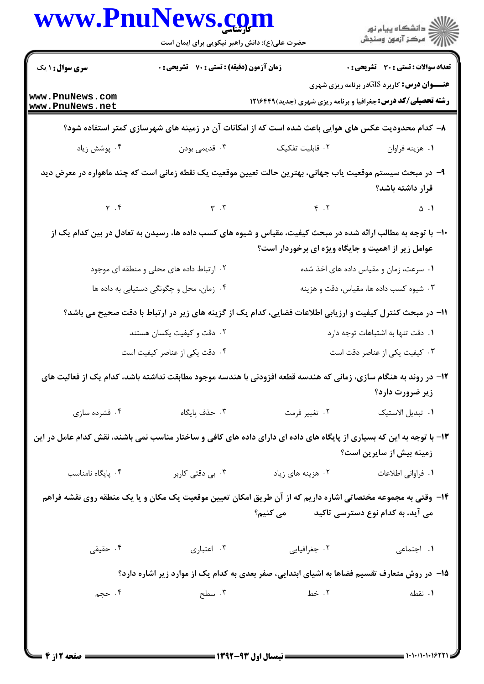| www.PnuNews.com                                                                                                                    | حضرت علی(ع): دانش راهبر نیکویی برای ایمان است               |                                                                                                                                                                         | ر دانشڪاه پيام نور<br>ا∛ مرکز آزمون وسنڊش          |  |
|------------------------------------------------------------------------------------------------------------------------------------|-------------------------------------------------------------|-------------------------------------------------------------------------------------------------------------------------------------------------------------------------|----------------------------------------------------|--|
| <b>سری سوال : ۱ یک</b>                                                                                                             | <b>زمان آزمون (دقیقه) : تستی : 70 ٪ تشریحی : 0</b>          |                                                                                                                                                                         | تعداد سوالات : تستي : 30 ٪ تشريحي : 0              |  |
| www.PnuNews.com<br>www.PnuNews.net                                                                                                 |                                                             | <b>رشته تحصیلی/کد درس:</b> جغرافیا و برنامه ریزی شهری (جدید)1216499                                                                                                     | <b>عنـــوان درس:</b> کاربرد GISدر برنامه ریزی شهری |  |
|                                                                                                                                    |                                                             | ۸– کدام محدودیت عکس های هوایی باعث شده است که از امکانات آن در زمینه های شهرسازی کمتر استفاده شود؟                                                                      |                                                    |  |
| ۰۴ پوشش زیاد                                                                                                                       | ۰۳ قديمي بودن                                               | ٠٢ قابليت تفكيك                                                                                                                                                         | ۰۱ هزينه فراوان                                    |  |
|                                                                                                                                    |                                                             | ۹– در مبحث سیستم موقعیت یاب جهانی، بهترین حالت تعیین موقعیت یک نقطه زمانی است که چند ماهواره در معرض دید                                                                | قرار داشته باشد؟                                   |  |
| $\gamma$ . $\gamma$                                                                                                                | $\mathbf{r} \cdot \mathbf{r}$ $\mathbf{r} \cdot \mathbf{r}$ |                                                                                                                                                                         | $\Delta$ . 1                                       |  |
|                                                                                                                                    |                                                             | ∙۱− با توجه به مطالب ارائه شده در مبحث کیفیت، مقیاس و شیوه های کسب داده ها، رسیدن به تعادل در بین کدام یک از<br>عوامل زیر از اهمیت و جایگاه ویژه ای برخوردار است؟       |                                                    |  |
|                                                                                                                                    | ۰۲ ارتباط داده های محلی و منطقه ای موجود                    |                                                                                                                                                                         | ۰۱ سرعت، زمان و مقیاس داده های اخذ شده             |  |
|                                                                                                                                    | ۰۴ زمان، محل و چگونگی دستیابی به داده ها                    |                                                                                                                                                                         | ۰۳ شیوه کسب داده ها، مقیاس، دقت و هزینه            |  |
|                                                                                                                                    |                                                             | 11- در مبحث کنترل کیفیت و ارزیابی اطلاعات فضایی، کدام یک از گزینه های زیر در ارتباط با دقت صحیح می باشد؟                                                                |                                                    |  |
|                                                                                                                                    | ۰۲ دقت و کیفیت یکسان هستند                                  |                                                                                                                                                                         | ۰۱ دقت تنها به اشتباهات توجه دارد                  |  |
|                                                                                                                                    | ۰۴ دقت یکی از عناصر کیفیت است                               |                                                                                                                                                                         | ۰۳ کیفیت یکی از عناصر دقت است                      |  |
| ۱۲– در روند به هنگام سازی، زمانی که هندسه قطعه افزودنی با هندسه موجود مطابقت نداشته باشد، کدام یک از فعالیت های<br>زیر ضرورت دارد؟ |                                                             |                                                                                                                                                                         |                                                    |  |
| ۰۴ فشرده سازی                                                                                                                      | ۰۳ حذف پایگاه                                               | ۰۲ تغيير فرمت                                                                                                                                                           | ٠١ تبديل الاستيک                                   |  |
|                                                                                                                                    |                                                             | ۱۳- با توجه به این که بسیاری از پایگاه های داده ای دارای داده های کافی و ساختار مناسب نمی باشند، نقش کدام عامل در این                                                   | زمینه بیش از سایرین است؟                           |  |
| ۰۴ پایگاه نامناسب                                                                                                                  | ۰۳ بی دقتی کاربر                                            | ۰۲ هزینه های زیاد                                                                                                                                                       | <b>۱</b> . فراوانی اطلاعات                         |  |
|                                                                                                                                    |                                                             | ۱۴– وقتی به مجموعه مختصاتی اشاره داریم که از آن طریق امکان تعیین موقعیت یک مکان و یا یک منطقه روی نقشه فراهم<br>می آید، به کدام نوع دسترسی تاکید               می کنیم؟ |                                                    |  |
| ۰۴ حقیقی                                                                                                                           | ۰۳ اعتباری                                                  | ۰۲ جغرافیایی                                                                                                                                                            | ٠١. اجتماعي                                        |  |
| ۱۵– در روش متعارف تقسیم فضاها به اشیای ابتدایی، صفر بعدی به کدام یک از موارد زیر اشاره دارد؟                                       |                                                             |                                                                                                                                                                         |                                                    |  |
| ۰۴ حجم                                                                                                                             | ۰۳ سطح                                                      | ۰۲ خط                                                                                                                                                                   | ۰۱ نقطه                                            |  |
|                                                                                                                                    |                                                             | ={WAY_AW_t.i_ti___;                                                                                                                                                     |                                                    |  |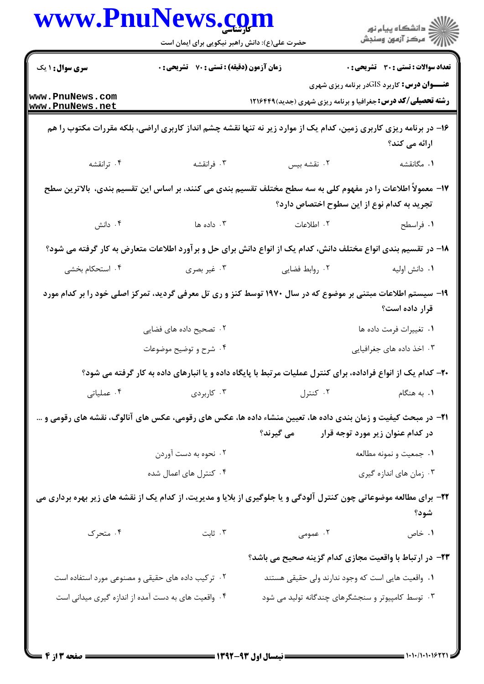|                                    | حضرت علی(ع): دانش راهبر نیکویی برای ایمان است                                                                  | www.PnuNews.com | ڪ دانشڪاه پيا <sub>م</sub> نور<br>∕ <sup>7</sup> مرڪز آزمون وسنڊش                                                                  |
|------------------------------------|----------------------------------------------------------------------------------------------------------------|-----------------|------------------------------------------------------------------------------------------------------------------------------------|
| <b>سری سوال : ۱ یک</b>             | زمان آزمون (دقیقه) : تستی : 70 گشریحی : 0                                                                      |                 | <b>تعداد سوالات : تستي : 30 ٪ تشريحي : 0</b>                                                                                       |
| www.PnuNews.com<br>www.PnuNews.net |                                                                                                                |                 | <b>عنـــوان درس:</b> کاربرد GISدر برنامه ریزی شهری<br><b>رشته تحصیلی/کد درس:</b> جغرافیا و برنامه ریزی شهری (جدید)1216491          |
|                                    |                                                                                                                |                 |                                                                                                                                    |
|                                    |                                                                                                                |                 | ۱۶– در برنامه ریزی کاربری زمین، کدام یک از موارد زیر نه تنها نقشه چشم انداز کاربری اراضی، بلکه مقررات مکتوب را هم<br>ارائه می کند؟ |
| ۰۴ ترانقشه                         | ۰۳ فرانقشه                                                                                                     | ۰۲ نقشه بیس     | ۰۱ مگانقشه                                                                                                                         |
|                                    |                                                                                                                |                 | ۱۷– معمولاً اطلاعات را در مفهوم کلی به سه سطح مختلف تقسیم بندی می کنند، بر اساس این تقسیم بندی،  بالاترین سطح                      |
|                                    |                                                                                                                |                 | تجرید به کدام نوع از این سطوح اختصاص دارد؟                                                                                         |
| ۰۴ دانش                            | ۰۳ داده ها                                                                                                     | ٠٢ اطلاعات      | ۰۱ فراسطح                                                                                                                          |
|                                    |                                                                                                                |                 | ۱۸– در تقسیم بندی انواع مختلف دانش، کدام یک از انواع دانش برای حل و برآورد اطلاعات متعارض به کار گرفته می شود؟                     |
| ۰۴ استحکام بخشی                    | ۰۳ غیر بصری                                                                                                    | ٠٢ روابط فضايي  | ٠١ دانش اوليه                                                                                                                      |
|                                    |                                                                                                                |                 | ۱۹– سیستم اطلاعات مبتنی بر موضوع که در سال ۱۹۷۰ توسط کنز و ری تل معرفی گردید، تمرکز اصلی خود را بر کدام مورد<br>قرار داده است؟     |
|                                    | ۰۲ تصحیح داده های فضایی                                                                                        |                 | ٠١ تغييرات فرمت داده ها                                                                                                            |
|                                    | ۰۴ شرح و توضیح موضوعات                                                                                         |                 | ۰۳ اخذ داده های جغرافیایی                                                                                                          |
|                                    |                                                                                                                |                 | +۲- کدام یک از انواع فراداده، برای کنترل عملیات مرتبط با پایگاه داده و یا انبارهای داده به کار گرفته می شود؟                       |
| ۰۴ عملیاتی                         | ۰۱ به هنگام مسلم است. تنترل مسلم است که ازبردی است که به هنگام مسلم که است که دربردی است که به این که از این ک |                 |                                                                                                                                    |
|                                    |                                                                                                                |                 | <b>۲۱</b> - در مبحث کیفیت و زمان بندی داده ها، تعیین منشاء داده ها، عکس های رقومی، عکس های آنالوگ، نقشه های رقومی و …              |
|                                    |                                                                                                                |                 | در کدام عنوان زیر مورد توجه قرار می گیرند؟                                                                                         |
|                                    | ۰۲ نحوه به دست آوردن                                                                                           |                 | ٠١ جمعيت و نمونه مطالعه                                                                                                            |
|                                    | ۰۴ کنترل های اعمال شده                                                                                         |                 | ۰۳ زمان های اندازه گیری                                                                                                            |
|                                    |                                                                                                                |                 | ۲۲- برای مطالعه موضوعاتی چون کنترل آلودگی و یا جلوگیری از بلایا و مدیریت، از کدام یک از نقشه های زیر بهره برداری می<br>شود؟        |
| ۰۴ متحرک                           | ا ثابت $\mathfrak{r}$                                                                                          |                 | ۲. عمومی<br>۰۱ خاص                                                                                                                 |
|                                    |                                                                                                                |                 | ۲۳– در ارتباط با واقعیت مجازی کدام گزینه صحیح می باشد؟                                                                             |
|                                    | ۰۲ ترکیب داده های حقیقی و مصنوعی مورد استفاده است                                                              |                 | ۰۱ واقعیت هایی است که وجود ندارند ولی حقیقی هستند                                                                                  |
|                                    | ۰۴ واقعیت های به دست آمده از اندازه گیری میدانی است                                                            |                 | ۰۳ توسط کامپیوتر و سنجشگرهای چندگانه تولید می شود                                                                                  |

 $= 1.1 - 11.1$  .  $1977$